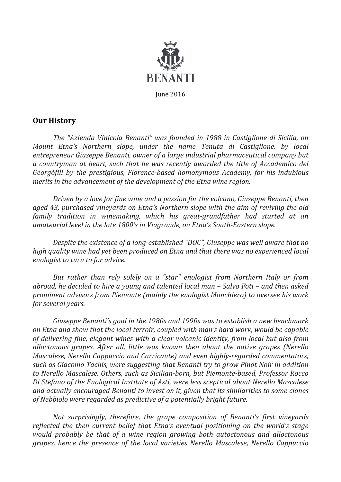

## **Our History**

The "Azienda Vinicola Benanti" was founded in 1988 in Castiglione di Sicilia, on *Mount Etna's* Northern slope, under the name Tenuta di Castiglione, by local entrepreneur Giuseppe Benanti, owner of a large industrial pharmaceutical company but *a countryman at heart, such that he was recently awarded the title of Accademico dei Georgòfili by the prestigious, Florence-based homonymous Academy, for his indubious merits* in the advancement of the development of the Etna wine region.

*Driven by a love for fine wine and a passion for the volcano, Giuseppe Benanti, then aged 43, purchased vineyards on Etna's Northern slope with the aim of reviving the old family tradition in winemaking, which his great-grandfather had started at an* amateurial level in the late 1800's in Viagrande, on Etna's South-Eastern slope.

*Despite the existence of a long-established "DOC", Giuseppe was well aware that no high* quality wine had yet been produced on Etna and that there was no experienced local *enologist to turn to for advice.* 

*But rather than rely solely on a "star" enologist from Northern Italy or from abroad, he decided to hire a young and talented local man – Salvo Foti – and then asked prominent advisors from Piemonte (mainly the enologist Monchiero) to oversee his work for several years.* 

*Giuseppe Benanti's goal in the 1980s and 1990s was to establish a new benchmark* on *Etna and show that the local terroir, coupled with man's hard work, would be capable* of delivering fine, elegant wines with a clear volcanic identity, from local but also from alloctonous grapes. After all, little was known then about the native grapes (Nerello *Mascalese, Nerello Cappuccio and Carricante) and even highly-regarded commentators,* such as Giacomo Tachis, were suggesting that Benanti try to grow Pinot Noir in addition *to Nerello Mascalese. Others, such as Sicilian-born, but Piemonte-based, Professor Rocco*  Di Stefano of the Enological Institute of Asti, were less sceptical about Nerello Mascalese and actually encouraged Benanti to invest on it, given that its similarities to some clones *of Nebbiolo were regarded as predictive of a potentially bright future.*

*Not surprisingly, therefore, the grape composition of Benanti's first vineyards reflected the then current belief that Etna's eventual positioning on the world's stage would probably be that of a wine region growing both autoctonous and alloctonous grapes, hence the presence of the local varieties Nerello Mascalese, Nerello Cappuccio*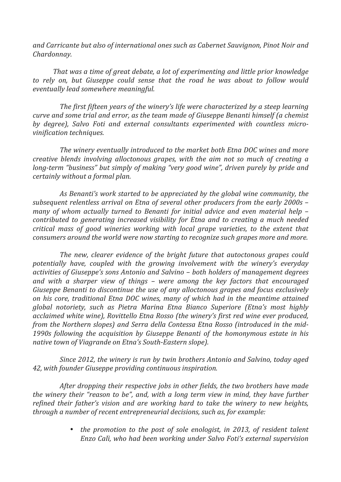and Carricante but also of *international ones such as Cabernet Sauvignon, Pinot Noir and Chardonnay.*

*That* was a time of great debate, a lot of experimenting and little prior knowledge to rely on, but Giuseppe could sense that the road he was about to follow would *eventually lead somewhere meaningful.*

*The first fifteen years of the winery's life were characterized by a steep learning curve* and some trial and error, as the team made of Giuseppe Benanti himself (a chemist by degree), Salvo Foti and external consultants experimented with countless micro*vinification techniques.*

The winery eventually introduced to the market both Etna DOC wines and more *creative blends involving alloctonous grapes, with the aim not so much of creating a long-term* "business" but simply of making "very good wine", driven purely by pride and *certainly without a formal plan.* 

As Benanti's work started to be appreciated by the global wine community, the *subsequent relentless arrival on Etna of several other producers from the early 2000s – many* of whom actually turned to Benanti for initial advice and even material help – *contributed to generating increased visibility for Etna and to creating a much needed critical mass of good wineries working with local grape varieties, to the extent that consumers around the world were now starting to recognize such grapes more and more.* 

*The new, clearer evidence of the bright future that autoctonous grapes could* potentially have, coupled with the growing involvement with the winery's everyday activities of Giuseppe's sons Antonio and Salvino – both holders of management degrees *and with a sharper view of things – were among the key factors that encouraged Giuseppe Benanti to discontinue the use of any alloctonous grapes and focus exclusively on his core, traditional Etna DOC wines, many of which had in the meantime attained global notoriety, such as Pietra Marina Etna Bianco Superiore (Etna's most highly acclaimed white wine), Rovittello Etna Rosso (the winery's first red wine ever produced,* from the Northern slopes) and Serra della Contessa Etna Rosso (introduced in the mid-1990s following the acquisition by Giuseppe Benanti of the homonymous estate in his *native town of Viagrande on Etna's South-Eastern slope).* 

*Since 2012, the winery is run by twin brothers Antonio and Salvino, today aged* 42, with founder Giuseppe providing continuous inspiration.

*After dropping their respective jobs in other fields, the two brothers have made the winery their "reason to be", and, with a long term view in mind, they have further refined their father's vision and are working hard to take the winery to new heights, through a number of recent entrepreneurial decisions, such as, for example:* 

> • *the promotion to the post of sole enologist, in 2013, of resident talent Enzo Calì, who had been working under Salvo Foti's external supervision*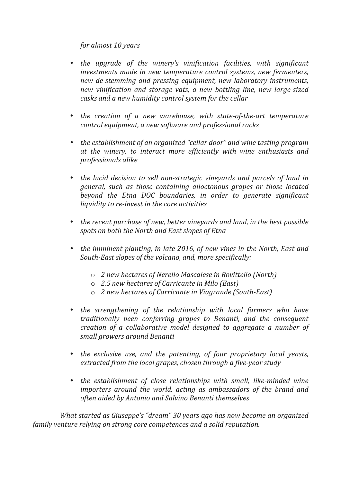## *for almost 10 years*

- *the upgrade of the winery's vinification facilities, with significant investments made in new temperature control systems, new fermenters, new de-stemming and pressing equipment, new laboratory instruments, new vinification and storage vats, a new bottling line, new large-sized casks and a new humidity control system for the cellar*
- *the creation of a new warehouse, with state-of-the-art temperature control equipment, a new software and professional racks*
- *the establishment of an organized "cellar door" and wine tasting program* at the winery, to interact more efficiently with wine enthusiasts and *professionals alike*
- the *lucid decision to sell non-strategic vineyards and parcels of land in general, such as those containing alloctonous grapes or those located beyond the Etna DOC boundaries, in order to generate significant liquidity to re-invest in the core activities*
- the recent purchase of new, better vineyards and land, in the best possible *spots on both the North and East slopes of Etna*
- the imminent planting, in late 2016, of new vines in the North, East and South-East slopes of the volcano, and, more specifically:
	- o *2 new hectares of Nerello Mascalese in Rovittello (North)*
	- o *2.5 new hectares of Carricante in Milo (East)*
	- o *2 new hectares of Carricante in Viagrande (South-East)*
- *the strengthening of the relationship with local farmers who have traditionally been conferring grapes to Benanti, and the consequent creation of a collaborative model designed to aggregate a number of small growers around Benanti*
- *the exclusive use, and the patenting, of four proprietary local yeasts, extracted from the local grapes, chosen through a five-year study*
- the establishment of close relationships with small, like-minded wine *importers* around the world, acting as ambassadors of the brand and *often aided by Antonio and Salvino Benanti themselves*

*What started as Giuseppe's "dream"* 30 years ago has now become an organized *family venture relying on strong core competences and a solid reputation.*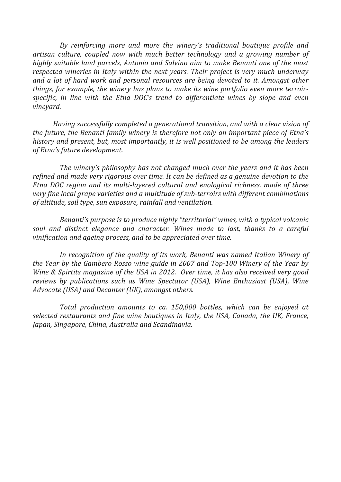*By reinforcing more and more the winery's traditional boutique profile and artisan culture, coupled now with much better technology and a growing number of highly* suitable land parcels, Antonio and Salvino aim to make Benanti one of the most *respected wineries in Italy within the next years. Their project is very much underway and a lot of hard work and personal resources are being devoted to it. Amongst other things, for example, the winery has plans to make its wine portfolio even more terroir*specific, in line with the Etna DOC's trend to differentiate wines by slope and even *vineyard.*

*Having successfully completed a generational transition, and with a clear vision of the future, the Benanti family winery is therefore not only an important piece of Etna's history* and present, but, most importantly, it is well positioned to be among the leaders *of Etna's future development.*

*The winery's philosophy has not changed much over the years and it has been refined and made very rigorous over time. It can be defined as a genuine devotion to the Etna DOC region and its multi-layered cultural and enological richness, made of three very* fine *local grape varieties and a multitude of sub-terroirs with different combinations of altitude, soil type, sun exposure, rainfall and ventilation.*

*Benanti's purpose is to produce highly "territorial" wines, with a typical volcanic soul* and distinct elegance and character. Wines made to last, thanks to a careful *vinification and ageing process, and to be appreciated over time.* 

In recognition of the quality of its work, Benanti was named Italian Winery of *the Year by the Gambero Rosso wine guide in 2007 and Top-100 Winery of the Year by Wine & Spirtits magazine of the USA in 2012. Over time, it has also received very good reviews by publications such as Wine Spectator (USA), Wine Enthusiast (USA), Wine* Advocate (USA) and Decanter (UK), amongst others.

*Total production amounts to ca. 150,000 bottles, which can be enjoyed at selected restaurants and fine wine boutiques in Italy, the USA, Canada, the UK, France, Japan, Singapore, China, Australia and Scandinavia.*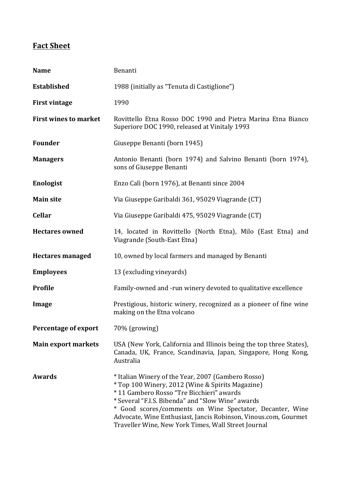## **Fact Sheet**

| <b>Name</b>                  | Benanti                                                                                                                                                                                                                                                                                                                                                                                       |
|------------------------------|-----------------------------------------------------------------------------------------------------------------------------------------------------------------------------------------------------------------------------------------------------------------------------------------------------------------------------------------------------------------------------------------------|
| <b>Established</b>           | 1988 (initially as "Tenuta di Castiglione")                                                                                                                                                                                                                                                                                                                                                   |
| <b>First vintage</b>         | 1990                                                                                                                                                                                                                                                                                                                                                                                          |
| <b>First wines to market</b> | Rovittello Etna Rosso DOC 1990 and Pietra Marina Etna Bianco<br>Superiore DOC 1990, released at Vinitaly 1993                                                                                                                                                                                                                                                                                 |
| <b>Founder</b>               | Giuseppe Benanti (born 1945)                                                                                                                                                                                                                                                                                                                                                                  |
| <b>Managers</b>              | Antonio Benanti (born 1974) and Salvino Benanti (born 1974),<br>sons of Giuseppe Benanti                                                                                                                                                                                                                                                                                                      |
| <b>Enologist</b>             | Enzo Calì (born 1976), at Benanti since 2004                                                                                                                                                                                                                                                                                                                                                  |
| <b>Main site</b>             | Via Giuseppe Garibaldi 361, 95029 Viagrande (CT)                                                                                                                                                                                                                                                                                                                                              |
| <b>Cellar</b>                | Via Giuseppe Garibaldi 475, 95029 Viagrande (CT)                                                                                                                                                                                                                                                                                                                                              |
| <b>Hectares owned</b>        | 14, located in Rovittello (North Etna), Milo (East Etna) and<br>Viagrande (South-East Etna)                                                                                                                                                                                                                                                                                                   |
| <b>Hectares managed</b>      | 10, owned by local farmers and managed by Benanti                                                                                                                                                                                                                                                                                                                                             |
| <b>Employees</b>             | 13 (excluding vineyards)                                                                                                                                                                                                                                                                                                                                                                      |
| <b>Profile</b>               | Family-owned and -run winery devoted to qualitative excellence                                                                                                                                                                                                                                                                                                                                |
| Image                        | Prestigious, historic winery, recognized as a pioneer of fine wine<br>making on the Etna volcano                                                                                                                                                                                                                                                                                              |
| <b>Percentage of export</b>  | 70% (growing)                                                                                                                                                                                                                                                                                                                                                                                 |
| <b>Main export markets</b>   | USA (New York, California and Illinois being the top three States),<br>Canada, UK, France, Scandinavia, Japan, Singapore, Hong Kong,<br>Australia                                                                                                                                                                                                                                             |
| Awards                       | * Italian Winery of the Year, 2007 (Gambero Rosso)<br>* Top 100 Winery, 2012 (Wine & Spirits Magazine)<br>*11 Gambero Rosso "Tre Bicchieri" awards<br>* Several "F.I.S. Bibenda" and "Slow Wine" awards<br>* Good scores/comments on Wine Spectator, Decanter, Wine<br>Advocate, Wine Enthusiast, Jancis Robinson, Vinous.com, Gourmet<br>Traveller Wine, New York Times, Wall Street Journal |